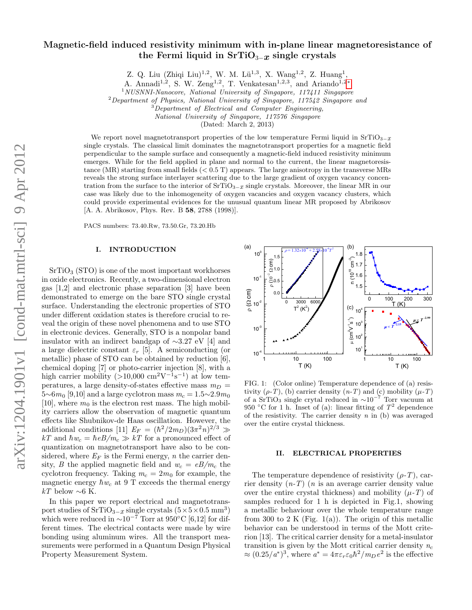# Magnetic-field induced resistivity minimum with in-plane linear magnetoresistance of the Fermi liquid in  $SrTiO_{3-x}$  single crystals

Z. Q. Liu (Zhiqi Liu)<sup>1,2</sup>, W. M. Lü<sup>1,3</sup>, X. Wang<sup>1,2</sup>, Z. Huang<sup>1</sup>,

A. Annadi<sup>1,2</sup>, S. W. Zeng<sup>1,2</sup>, T. Venkatesan<sup>1,2,3</sup>, and Ariando<sup>1,2\*</sup>

<sup>1</sup>NUSNNI-Nanocore, National University of Singapore, 117411 Singapore

 $2$ Department of Physics, National University of Singapore, 117542 Singapore and

<sup>3</sup>Department of Electrical and Computer Engineering,

National University of Singapore, 117576 Singapore

(Dated: March 2, 2013)

We report novel magnetotransport properties of the low temperature Fermi liquid in  $SrTiO_{3-x}$ single crystals. The classical limit dominates the magnetotransport properties for a magnetic field perpendicular to the sample surface and consequently a magnetic-field induced resistivity minimum emerges. While for the field applied in plane and normal to the current, the linear magnetoresistance (MR) starting from small fields (< 0.5 T) appears. The large anisotropy in the transverse MRs reveals the strong surface interlayer scattering due to the large gradient of oxygen vacancy concentration from the surface to the interior of  $SrTiO_{3-x}$  single crystals. Moreover, the linear MR in our case was likely due to the inhomogeneity of oxygen vacancies and oxygen vacancy clusters, which could provide experimental evidences for the unusual quantum linear MR proposed by Abrikosov [A. A. Abrikosov, Phys. Rev. B 58, 2788 (1998)].

PACS numbers: 73.40.Rw, 73.50.Gr, 73.20.Hb

# I. INTRODUCTION

 $SrTiO<sub>3</sub> (STO)$  is one of the most important workhorses in oxide electronics. Recently, a two-dimensional electron gas [1,2] and electronic phase separation [3] have been demonstrated to emerge on the bare STO single crystal surface. Understanding the electronic properties of STO under different oxidation states is therefore crucial to reveal the origin of these novel phenomena and to use STO in electronic devices. Generally, STO is a nonpolar band insulator with an indirect bandgap of ∼3.27 eV [4] and a large dielectric constant  $\varepsilon_r$  [5]. A semiconducting (or metallic) phase of STO can be obtained by reduction [6], chemical doping [7] or photo-carrier injection [8], with a high carrier mobility  $(>10,000 \text{ cm}^2\text{V}^{-1}\text{s}^{-1})$  at low temperatures, a large density-of-states effective mass  $m_D =$  $5~6m_0$  [9,10] and a large cyclotron mass  $m_c = 1.5~2.9m_0$ [10], where  $m_0$  is the electron rest mass. The high mobility carriers allow the observation of magnetic quantum effects like Shubnikov-de Haas oscillation. However, the additional conditions [11]  $E_F = (\hbar^2/2m_D)(3\pi^2 n)^{2/3} \gg$  $kT$  and  $\hbar w_c = \hbar eB/m_c \gg kT$  for a pronounced effect of quantization on magnetotransport have also to be considered, where  $E_F$  is the Fermi energy, n the carrier density, B the applied magnetic field and  $w_c = eB/m_c$  the cyclotron frequency. Taking  $m_c = 2m_0$  for example, the magnetic energy  $\hbar w_c$  at 9 T exceeds the thermal energy  $kT$  below ∼6 K. metallic) phase of STO can be obtained by reduction [6],<br>
chemical doping [7] or photo-carrier injection [8], with a<br>
high carrier mobility (>10,000 cm<sup>2</sup>V<sup>-1</sup>s<sup>-1</sup>) at low tem-<br>
peratures, a large density-of-states effec

In this paper we report electrical and magnetotransport studies of  $SrTiO_{3-x}$  single crystals  $(5 \times 5 \times 0.5 \text{ mm}^3)$ which were reduced in  $\sim 10^{-7}$  Torr at 950°C [6,12] for different times. The electrical contacts were made by wire bonding using aluminum wires. All the transport measurements were performed in a Quantum Design Physical



FIG. 1: (Color online) Temperature dependence of (a) resistivity  $(\rho-T)$ , (b) carrier density  $(n-T)$  and (c) mobility  $(\mu-T)$ of a SrTiO<sub>3</sub> single crytal reduced in  $\sim 10^{-7}$  Torr vacuum at 950 °C for 1 h. Inset of (a): linear fitting of  $T^2$  dependence of the resistivity. The carrier density  $n$  in (b) was averaged over the entire crystal thickness.

### II. ELECTRICAL PROPERTIES

The temperature dependence of resistivity  $(\rho-T)$ , carrier density  $(n-T)$  (*n* is an average carrier density value over the entire crystal thickness) and mobility  $(\mu - T)$  of samples reduced for 1 h is depicted in Fig.1, showing a metallic behaviour over the whole temperature range from 300 to 2 K (Fig. 1(a)). The origin of this metallic behavior can be understood in terms of the Mott criterion [13]. The critical carrier density for a metal-insulator transition is given by the Mott critical carrier density  $n_c$  $\approx (0.25/a^*)^3$ , where  $a^* = 4\pi \varepsilon_r \varepsilon_0 \hbar^2 / m_D e^2$  is the effective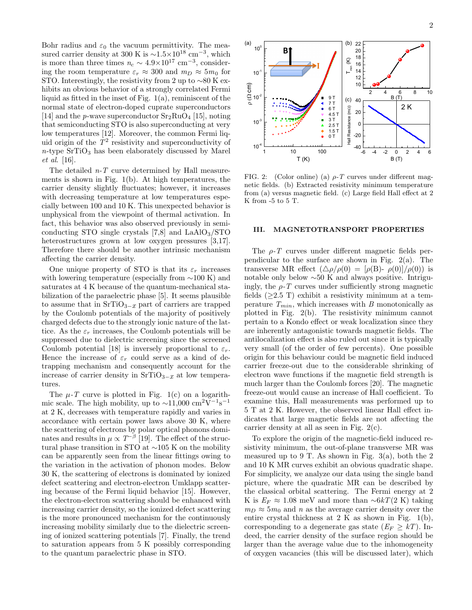Bohr radius and  $\varepsilon_0$  the vacuum permittivity. The measured carrier density at 300 K is  $\sim$ 1.5×10<sup>18</sup> cm<sup>-3</sup>, which is more than three times  $n_c \sim 4.9 \times 10^{17}$  cm<sup>-3</sup>, considering the room temperature  $\varepsilon_r \approx 300$  and  $m_D \approx 5m_0$  for STO. Interestingly, the resistivity from 2 up to  $\sim$ 80 K exhibits an obvious behavior of a strongly correlated Fermi liquid as fitted in the inset of Fig. 1(a), reminiscent of the normal state of electron-doped cuprate superconductors [14] and the *p*-wave superconductor  $Sr_2RuO_4$  [15], noting that semiconducting STO is also superconducting at very low temperatures [12]. Moreover, the common Fermi liquid origin of the  $T^2$  resistivity and superconductivity of  $n$ -type SrTiO<sub>3</sub> has been elaborately discussed by Marel et al. [16].

The detailed  $n-T$  curve determined by Hall measurements is shown in Fig. 1(b). At high temperatures, the carrier density slightly fluctuates; however, it increases with decreasing temperature at low temperatures especially between 100 and 10 K. This unexpected behavior is unphysical from the viewpoint of thermal activation. In fact, this behavior was also observed previously in semiconducting STO single crystals  $[7,8]$  and LaAlO<sub>3</sub>/STO heterostructures grown at low oxygen pressures [3,17]. Therefore there should be another intrinsic mechanism affecting the carrier density.

One unique property of STO is that its  $\varepsilon_r$  increases with lowering temperature (especially from  $\sim$ 100 K) and saturates at 4 K because of the quantum-mechanical stabilization of the paraelectric phase [5]. It seems plausible to assume that in  $SrTiO_{3-x}$  part of carriers are trapped by the Coulomb potentials of the majority of positively charged defects due to the strongly ionic nature of the lattice. As the  $\varepsilon_r$  increases, the Coulomb potentials will be suppressed due to dielectric screening since the screened Coulomb potential [18] is inversely proportional to  $\varepsilon_r$ . Hence the increase of  $\varepsilon_r$  could serve as a kind of detrapping mechanism and consequently account for the increase of carrier density in  $\text{SrTiO}_{3-x}$  at low temperatures.

The  $\mu$ -T curve is plotted in Fig. 1(c) on a logarithmic scale. The high mobility, up to  $\sim$ 11,000 cm<sup>2</sup>V<sup>-1</sup>s<sup>-1</sup> at 2 K, decreases with temperature rapidly and varies in accordance with certain power laws above 30 K, where the scattering of electrons by polar optical phonons dominates and results in  $\mu \propto T^{-\beta}$  [19]. The effect of the structural phase transition in STO at ∼105 K on the mobility can be apparently seen from the linear fittings owing to the variation in the activation of phonon modes. Below 30 K, the scattering of electrons is dominated by ionized defect scattering and electron-electron Umklapp scattering because of the Fermi liquid behavior [15]. However, the electron-electron scattering should be enhanced with increasing carrier density, so the ionized defect scattering is the more pronounced mechanism for the continuously increasing mobility similarly due to the dielectric screening of ionized scattering potentials [7]. Finally, the trend to saturation appears from 5 K possibly corresponding re-type SriTQ<sub>3</sub> has been clabs<br>rately thenesed by Alarel 19 10 160<br>
The detailed by The controlled by Halm measure-<br>
The detailed by The phase in the phase in the phase in the controlled by the<br>terms is shown in Fig. 1(b



FIG. 2: (Color online) (a)  $\rho$ -T curves under different magnetic fields. (b) Extracted resistivity minimum temperature from (a) versus magnetic field. (c) Large field Hall effect at 2 K from -5 to 5 T.

# III. MAGNETOTRANSPORT PROPERTIES

The  $\rho$ -T curves under different magnetic fields perpendicular to the surface are shown in Fig. 2(a). The transverse MR effect  $(\Delta \rho / \rho(0) = [\rho(B) - \rho(0)] / \rho(0)$  is notable only below ∼50 K and always positive. Intriguingly, the  $\rho$ -T curves under sufficiently strong magnetic fields  $(\geq 2.5$  T) exhibit a resistivity minimum at a temperature  $T_{min}$ , which increases with B monotonically as plotted in Fig. 2(b). The resistivity minimum cannot pertain to a Kondo effect or weak localization since they are inherently antagonistic towards magnetic fields. The antilocalization effect is also ruled out since it is typically very small (of the order of few percents). One possible origin for this behaviour could be magnetic field induced carrier freeze-out due to the considerable shrinking of electron wave functions if the magnetic field strength is much larger than the Coulomb forces [20]. The magnetic freeze-out would cause an increase of Hall coefficient. To examine this, Hall measurements was performed up to 5 T at 2 K. However, the observed linear Hall effect indicates that large magnetic fields are not affecting the carrier density at all as seen in Fig. 2(c).

To explore the origin of the magnetic-field induced resistivity minimum, the out-of-plane transverse MR was measured up to  $9$  T. As shown in Fig. 3(a), both the 2 and 10 K MR curves exhibit an obvious quadratic shape. For simplicity, we analyze our data using the single band picture, where the quadratic MR can be described by the classical orbital scattering. The Fermi energy at 2 K is  $E_F \approx 1.08$  meV and more than ~6kT(2 K) taking  $m_D \approx 5m_0$  and n as the average carrier density over the entire crystal thickness at 2 K as shown in Fig. 1(b), corresponding to a degenerate gas state  $(E_F \geq kT)$ . Indeed, the carrier density of the surface region should be larger than the average value due to the inhomogeneity of oxygen vacancies (this will be discussed later), which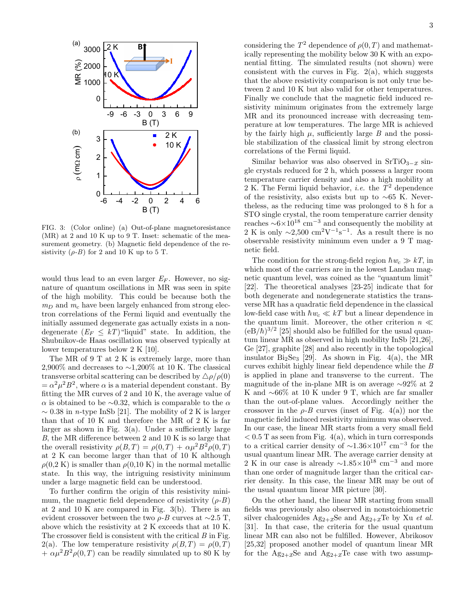

FIG. 3: (Color online) (a) Out-of-plane magnetoresistance (MR) at 2 and 10 K up to 9 T. Inset: schematic of the measurement geometry. (b) Magnetic field dependence of the resistivity  $(\rho - B)$  for 2 and 10 K up to 5 T.

would thus lead to an even larger  $E_F$ . However, no signature of quantum oscillations in MR was seen in spite of the high mobility. This could be because both the  $m_D$  and  $m_c$  have been largely enhanced from strong electron correlations of the Fermi liquid and eventually the initially assumed degenerate gas actually exists in a nondegenerate  $(E_F \leq kT)$ "liquid" state. In addition, the Shubnikov-de Haas oscillation was observed typically at lower temperatures below 2 K [10].

The MR of 9 T at 2 K is extremely large, more than 2,900% and decreases to  $\sim$ 1,200% at 10 K. The classical transverse orbital scattering can be described by  $\Delta \rho / \rho(0)$  $= \alpha^2 \mu^2 B^2$ , where  $\alpha$  is a material dependent constant. By fitting the MR curves of 2 and 10 K, the average value of α is obtained to be ∼0.32, which is comparable to the  $\alpha$  $\sim 0.38$  in *n*-type InSb [21]. The mobility of 2 K is larger than that of 10 K and therefore the MR of 2 K is far larger as shown in Fig.  $3(a)$ . Under a sufficiently large B, the MR difference between 2 and 10 K is so large that the overall resistivity  $\rho(B,T) = \rho(0,T) + \alpha \mu^2 B^2 \rho(0,T)$ at 2 K can become larger than that of 10 K although  $\rho(0,2 K)$  is smaller than  $\rho(0,10 K)$  in the normal metallic state. In this way, the intriguing resistivity minimum under a large magnetic field can be understood.

To further confirm the origin of this resistivity minimum, the magnetic field dependence of resistivity  $(\rho - B)$ at 2 and 10 K are compared in Fig. 3(b). There is an evident crossover between the two  $\rho$ -B curves at ∼2.5 T, above which the resistivity at 2 K exceeds that at 10 K. The crossover field is consistent with the critical  $B$  in Fig. 2(a). The low temperature resistivity  $\rho(B,T) = \rho(0,T)$  $+\alpha \mu^2 B^2 \rho(0,T)$  can be readily simulated up to 80 K by

considering the  $T^2$  dependence of  $\rho(0,T)$  and mathematically representing the mobility below 30 K with an exponential fitting. The simulated results (not shown) were consistent with the curves in Fig.  $2(a)$ , which suggests that the above resistivity comparison is not only true between 2 and 10 K but also valid for other temperatures. Finally we conclude that the magnetic field induced resistivity minimum originates from the extremely large MR and its pronounced increase with decreasing temperature at low temperatures. The large MR is achieved by the fairly high  $\mu$ , sufficiently large  $B$  and the possible stabilization of the classical limit by strong electron correlations of the Fermi liquid.

Similar behavior was also observed in  $SrTiO<sub>3-x</sub>$  single crystals reduced for 2 h, which possess a larger room temperature carrier density and also a high mobility at 2 K. The Fermi liquid behavior, *i.e.* the  $T^2$  dependence of the resistivity, also exists but up to ∼65 K. Nevertheless, as the reducing time was prolonged to 8 h for a STO single crystal, the room temperature carrier density reaches  $\sim 6 \times 10^{18}$  cm<sup>-3</sup> and consequently the mobility at 2 K is only  $\sim$ 2,500 cm<sup>2</sup>V<sup>-1</sup>s<sup>-1</sup>. As a result there is no observable resistivity minimum even under a 9 T magnetic field.

The condition for the strong-field region  $\hbar w_c \gg kT$ , in which most of the carriers are in the lowest Landau magnetic quantum level, was coined as the "quantum limit" [22]. The theoretical analyses [23-25] indicate that for both degenerate and nondegenerate statistics the transverse MR has a quadratic field dependence in the classical low-field case with  $\hbar w_c \ll kT$  but a linear dependence in the quantum limit. Moreover, the other criterion  $n \ll$  $(eB/\hbar)^{3/2}$  [25] should also be fulfilled for the usual quantum linear MR as observed in high mobility InSb [21,26], Ge [27], graphite [28] and also recently in the topological insulator  $Bi<sub>2</sub>Se<sub>3</sub>$  [29]. As shown in Fig. 4(a), the MR curves exhibit highly linear field dependence while the  $B$ is applied in plane and transverse to the current. The magnitude of the in-plane MR is on average ∼92% at 2 K and ∼66% at 10 K under 9 T, which are far smaller than the out-of-plane values. Accordingly neither the crossover in the  $\rho$ -B curves (inset of Fig. 4(a)) nor the magnetic field induced resistivity minimum was observed. In our case, the linear MR starts from a very small field  $< 0.5$  T as seen from Fig. 4(a), which in turn corresponds to a critical carrier density of  $\sim$ 1.36×10<sup>17</sup> cm<sup>-3</sup> for the usual quantum linear MR. The average carrier density at 2 K in our case is already  $\sim$ 1.85×10<sup>18</sup> cm<sup>-3</sup> and more than one order of magnitude larger than the critical carrier density. In this case, the linear MR may be out of the usual quantum linear MR picture [30].

On the other hand, the linear MR starting from small fields was previously also observed in nonstoichiometric silver chalcogenides  $Ag_{2+x}Se$  and  $Ag_{2+x}Te$  by Xu *et al.* [31]. In that case, the criteria for the usual quantum linear MR can also not be fulfilled. However, Abrikosov [25,32] proposed another model of quantum linear MR for the  $Ag_{2+x}Se$  and  $Ag_{2+x}Te$  case with two assump-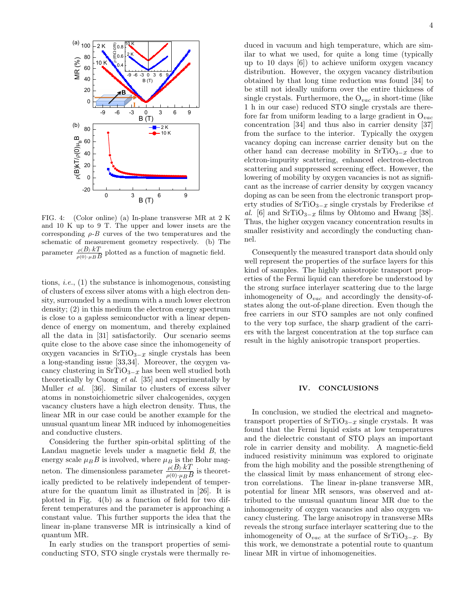

FIG. 4: (Color online) (a) In-plane transverse MR at 2 K and 10 K up to 9 T. The upper and lower insets are the corresponding  $\rho$ -B curves of the two temperatures and the schematic of measurement geometry respectively. (b) The parameter  $\frac{\rho(B) \cdot k}{\rho(0) \cdot \mu_B B}$  plotted as a function of magnetic field.

tions, *i.e.*,  $(1)$  the substance is inhomogenous, consisting of clusters of excess silver atoms with a high electron density, surrounded by a medium with a much lower electron density; (2) in this medium the electron energy spectrum is close to a gapless semiconductor with a linear dependence of energy on momentum, and thereby explained all the data in [31] satisfactorily. Our scenario seems quite close to the above case since the inhomogeneity of oxygen vacancies in  $SrTiO_{3-x}$  single crystals has been a long-standing issue [33,34]. Moreover, the oxygen vacancy clustering in  $\text{SrTiO}_{3-x}$  has been well studied both theoretically by Cuong et al. [35] and experimentally by Muller et al. [36]. Similar to clusters of excess silver atoms in nonstoichiometric silver chalcogenides, oxygen vacancy clusters have a high electron density. Thus, the linear MR in our case could be another example for the unusual quantum linear MR induced by inhomogeneities and conductive clusters.

Considering the further spin-orbital splitting of the Landau magnetic levels under a magnetic field B, the energy scale  $\mu_B B$  is involved, where  $\mu_B$  is the Bohr magneton. The dimensionless parameter  $\frac{\rho(B) \cdot kT}{\rho(0) \cdot \mu_B B}$  is theoretically predicted to be relatively independent of temperature for the quantum limit as illustrated in [26]. It is plotted in Fig. 4(b) as a function of field for two different temperatures and the parameter is approaching a constant value. This further supports the idea that the linear in-plane transverse MR is intrinsically a kind of quantum MR.

In early studies on the transport properties of semiconducting STO, STO single crystals were thermally reduced in vacuum and high temperature, which are similar to what we used, for quite a long time (typically up to 10 days [6]) to achieve uniform oxygen vacancy distribution. However, the oxygen vacancy distribution obtained by that long time reduction was found [34] to be still not ideally uniform over the entire thickness of single crystals. Furthermore, the  $O_{vac}$  in short-time (like 1 h in our case) reduced STO single crystals are therefore far from uniform leading to a large gradient in  $O_{vac}$ concentration [34] and thus also in carrier density [37] from the surface to the interior. Typically the oxygen vacancy doping can increase carrier density but on the other hand can decrease mobility in  $\text{SrTiO}_{3-x}$  due to elctron-impurity scattering, enhanced electron-electron scattering and suppressed screening effect. However, the lowering of mobility by oxygen vacancies is not as significant as the increase of carrier density by oxygen vacancy doping as can be seen from the electronic transport property studies of  $\text{SrTiO}_{3-x}$  single crystals by Frederikse et al. [6] and  $SrTiO_{3-x}$  films by Ohtomo and Hwang [38]. Thus, the higher oxygen vacancy concentration results in smaller resistivity and accordingly the conducting channel.

Consequently the measured transport data should only well represent the properties of the surface layers for this kind of samples. The highly anisotropic transport properties of the Fermi liquid can therefore be understood by the strong surface interlayer scattering due to the large inhomogeneity of  $O_{vac}$  and accordingly the density-ofstates along the out-of-plane direction. Even though the free carriers in our STO samples are not only confined to the very top surface, the sharp gradient of the carriers with the largest concentration at the top surface can result in the highly anisotropic transport properties.

#### IV. CONCLUSIONS

In conclusion, we studied the electrical and magnetotransport properties of  $SrTiO_{3-x}$  single crystals. It was found that the Fermi liquid exists at low temperatures and the dielectric constant of STO plays an important role in carrier density and mobility. A magnetic-field induced resistivity minimum was explored to originate from the high mobility and the possible strengthening of the classical limit by mass enhancement of strong electron correlations. The linear in-plane transverse MR, potential for linear MR sensors, was observed and attributed to the unusual quantum linear MR due to the inhomogeneity of oxygen vacancies and also oxygen vacancy clustering. The large anisotropy in transverse MRs reveals the strong surface interlayer scattering due to the inhomogeneity of  $O_{vac}$  at the surface of SrTiO<sub>3−x</sub>. By this work, we demonstrate a potential route to quantum linear MR in virtue of inhomogeneities.